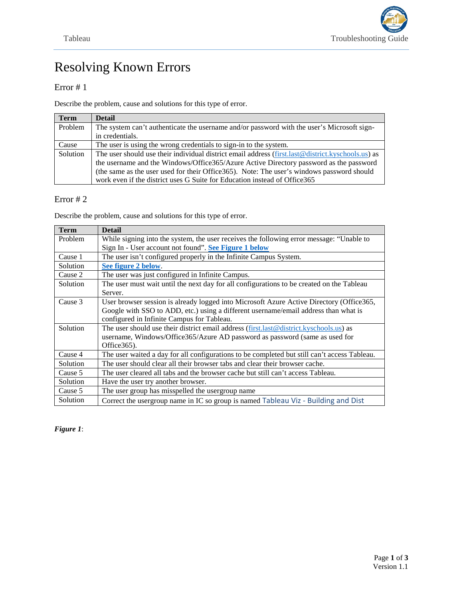# Resolving Known Errors

## Error # 1

Describe the problem, cause and solutions for this type of error.

| <b>Term</b> | <b>Detail</b>                                                                                                                                                                      |
|-------------|------------------------------------------------------------------------------------------------------------------------------------------------------------------------------------|
| Problem     | The system can't authenticate the username and/or password with the user's Microsoft sign-                                                                                         |
|             | in credentials.                                                                                                                                                                    |
| Cause       | The user is using the wrong credentials to sign-in to the system.                                                                                                                  |
| Solution    | The user should use their individual district email address ( $\frac{\text{first} \cdot \text{last} \cdot \text{C}}{\text{distinct} \cdot \text{kyschool} \cdot \text{task}}$ ) as |
|             | the username and the Windows/Office365/Azure Active Directory password as the password                                                                                             |
|             | (the same as the user used for their Office365). Note: The user's windows password should                                                                                          |
|             | work even if the district uses G Suite for Education instead of Office365                                                                                                          |

## Error # 2

Describe the problem, cause and solutions for this type of error.

| <b>Term</b>     | <b>Detail</b>                                                                                |
|-----------------|----------------------------------------------------------------------------------------------|
| Problem         | While signing into the system, the user receives the following error message: "Unable to     |
|                 | Sign In - User account not found". See Figure 1 below                                        |
| Cause 1         | The user isn't configured properly in the Infinite Campus System.                            |
| Solution        | See figure 2 below.                                                                          |
| Cause 2         | The user was just configured in Infinite Campus.                                             |
| Solution        | The user must wait until the next day for all configurations to be created on the Tableau    |
|                 | Server.                                                                                      |
| Cause 3         | User browser session is already logged into Microsoft Azure Active Directory (Office 365,    |
|                 | Google with SSO to ADD, etc.) using a different username/email address than what is          |
|                 | configured in Infinite Campus for Tableau.                                                   |
| Solution        | The user should use their district email address (first.last@district.kyschools.us) as       |
|                 | username, Windows/Office365/Azure AD password as password (same as used for                  |
|                 | Office $365$ ).                                                                              |
| Cause 4         | The user waited a day for all configurations to be completed but still can't access Tableau. |
| Solution        | The user should clear all their browser tabs and clear their browser cache.                  |
| Cause 5         | The user cleared all tabs and the browser cache but still can't access Tableau.              |
| Solution        | Have the user try another browser.                                                           |
| Cause 5         | The user group has misspelled the usergroup name                                             |
| <b>Solution</b> | Correct the usergroup name in IC so group is named Tableau Viz - Building and Dist           |

## <span id="page-0-0"></span>*Figure 1*: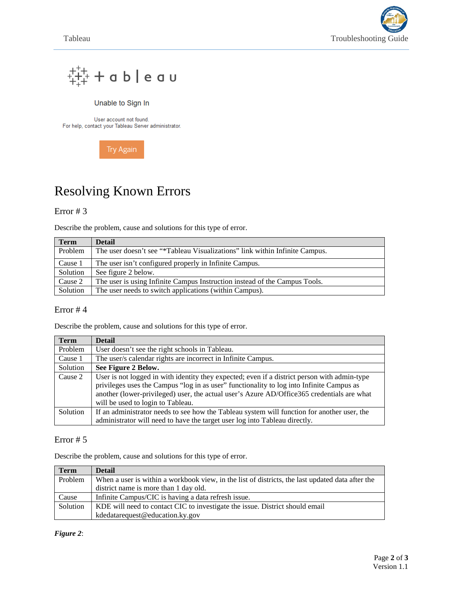



#### Unable to Sign In

User account not found. For help, contact your Tableau Server administrator.



# Resolving Known Errors

### Error # 3

Describe the problem, cause and solutions for this type of error.

| <b>Term</b> | <b>Detail</b>                                                               |
|-------------|-----------------------------------------------------------------------------|
| Problem     | The user doesn't see "*Tableau Visualizations" link within Infinite Campus. |
| Cause 1     | The user isn't configured properly in Infinite Campus.                      |
| Solution    | See figure 2 below.                                                         |
| Cause 2     | The user is using Infinite Campus Instruction instead of the Campus Tools.  |
| Solution    | The user needs to switch applications (within Campus).                      |

### Error # 4

Describe the problem, cause and solutions for this type of error.

| <b>Term</b> | <b>Detail</b>                                                                                |
|-------------|----------------------------------------------------------------------------------------------|
| Problem     | User doesn't see the right schools in Tableau.                                               |
| Cause 1     | The user/s calendar rights are incorrect in Infinite Campus.                                 |
| Solution    | See Figure 2 Below.                                                                          |
| Cause 2     | User is not logged in with identity they expected; even if a district person with admin-type |
|             | privileges uses the Campus "log in as user" functionality to log into Infinite Campus as     |
|             | another (lower-privileged) user, the actual user's Azure AD/Office365 credentials are what   |
|             | will be used to login to Tableau.                                                            |
| Solution    | If an administrator needs to see how the Tableau system will function for another user, the  |
|             | administrator will need to have the target user log into Tableau directly.                   |

#### Error # 5

Describe the problem, cause and solutions for this type of error.

| <b>Term</b> | <b>Detail</b>                                                                                    |
|-------------|--------------------------------------------------------------------------------------------------|
| Problem     | When a user is within a workbook view, in the list of districts, the last updated data after the |
|             | district name is more than 1 day old.                                                            |
| Cause       | Infinite Campus/CIC is having a data refresh issue.                                              |
| Solution    | KDE will need to contact CIC to investigate the issue. District should email                     |
|             | kdedatarequest@education.ky.gov                                                                  |

<span id="page-1-0"></span>*Figure 2*: